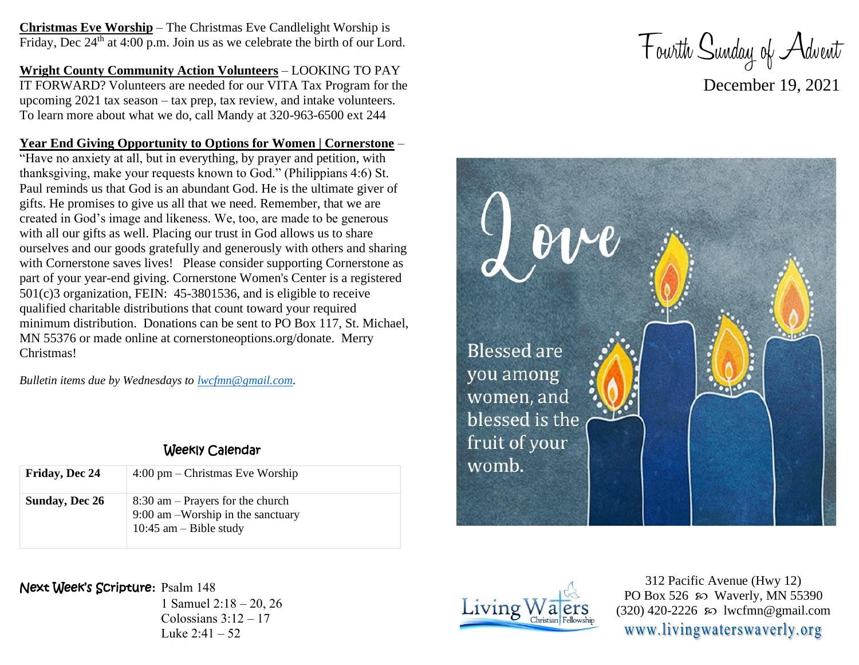**Christmas Eve Worship** – The Christmas Eve Candlelight Worship is Friday, Dec  $24<sup>th</sup>$  at 4:00 p.m. Join us as we celebrate the birth of our Lord.

**Wright County Community Action Volunteers** – LOOKING TO PAY IT FORWARD? Volunteers are needed for our VITA Tax Program for the upcoming 2021 tax season – tax prep, tax review, and intake volunteers. To learn more about what we do, call Mandy at 320-963-6500 ext 244

## **Year End Giving Opportunity to Options for Women | Cornerstone** –

"Have no anxiety at all, but in everything, by prayer and petition, with thanksgiving, make your requests known to God." (Philippians 4:6) St. Paul reminds us that God is an abundant God. He is the ultimate giver of gifts. He promises to give us all that we need. Remember, that we are created in God's image and likeness. We, too, are made to be generous with all our gifts as well. Placing our trust in God allows us to share ourselves and our goods gratefully and generously with others and sharing with Cornerstone saves lives! Please consider supporting Cornerstone as part of your year-end giving. Cornerstone Women's Center is a registered 501(c)3 organization, FEIN: 45-3801536, and is eligible to receive qualified charitable distributions that count toward your required minimum distribution. Donations can be sent to PO Box 117, St. Michael, MN 55376 or made online at cornerstoneoptions.org/donate. Merry Christmas!

*Bulletin items due by Wednesdays to [lwcfmn@gmail.com.](mailto:lwcfmn@gmail.com)*

## Weekly Calendar

| Friday, Dec 24 | $4:00 \text{ pm} -$ Christmas Eve Worship                                                           |
|----------------|-----------------------------------------------------------------------------------------------------|
| Sunday, Dec 26 | $8:30$ am – Prayers for the church<br>9:00 am -Worship in the sanctuary<br>10:45 am $-$ Bible study |

Next Week's Scripture**:** Psalm 148

1 Samuel 2:18 – 20, 26 Colossians  $3:12-17$ Luke  $2:41 - 52$ 







312 Pacific Avenue (Hwy 12) PO Box 526  $\wp$  Waverly, MN 55390  $(320)$  420-2226 so lwcfmn@gmail.com www.livingwaterswaverly.org